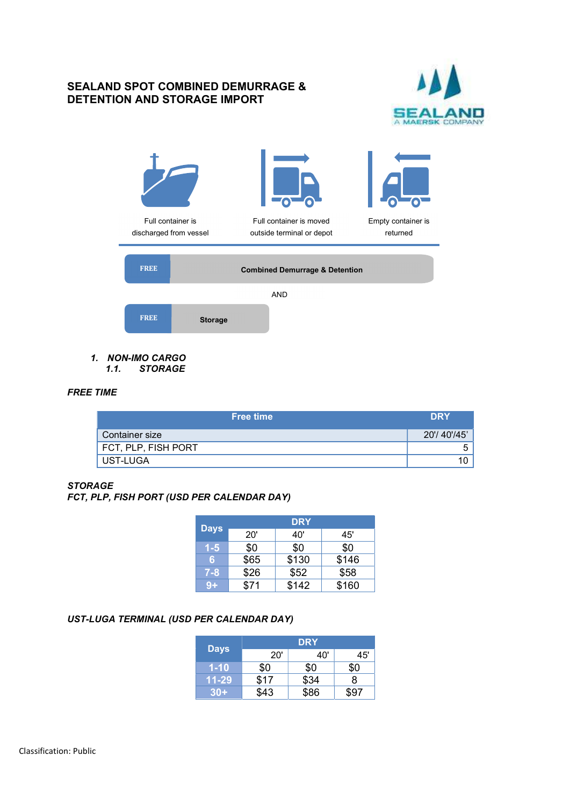## SEALAND SPOT COMBINED DEMURRAGE & DETENTION AND STORAGE IMPORT





- 1. NON-IMO CARGO
	- 1.1. STORAGE

# FREE TIME

| <b>Free time</b>    | <b>DRY</b>  |
|---------------------|-------------|
| Container size      | 20'/40'/45' |
| FCT, PLP, FISH PORT | ∽<br>ີ      |
| UST-LUGA            | 10          |

#### **STORAGE**

FCT, PLP, FISH PORT (USD PER CALENDAR DAY)

|             |      | <b>DRY</b> |       |
|-------------|------|------------|-------|
| <b>Days</b> | 20'  | 40'        | 45'   |
| $1 - 5$     | \$0  | \$0        | \$0   |
| 6           | \$65 | \$130      | \$146 |
| $7 - 8$     | \$26 | \$52       | \$58  |
| $9+$        | \$71 | \$142      | \$160 |

#### UST-LUGA TERMINAL (USD PER CALENDAR DAY)

|             | <b>DRY</b> |      |      |  |  |
|-------------|------------|------|------|--|--|
| <b>Days</b> | 20'        | 40'  | 45'  |  |  |
| $1 - 10$    | \$0        | \$0  | \$0  |  |  |
| 11-29       | \$17       | \$34 |      |  |  |
| $30+$       | \$43       | \$86 | \$97 |  |  |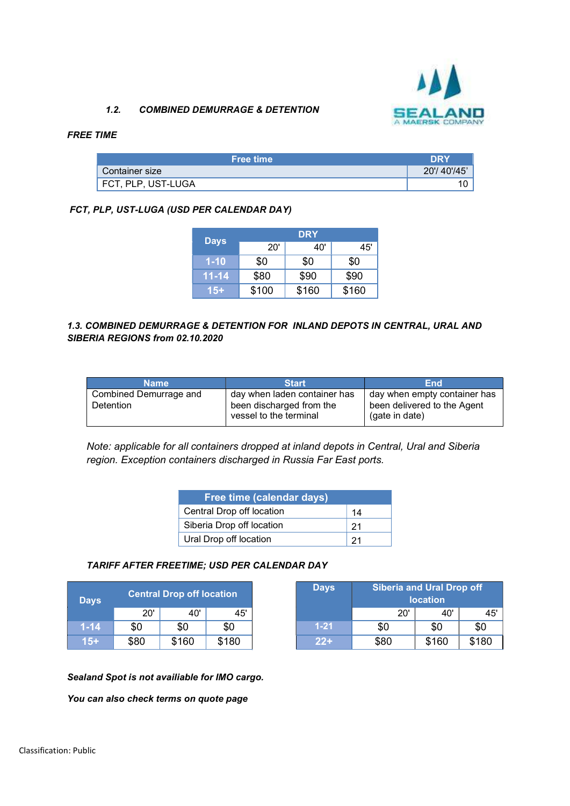

### 1.2. COMBINED DEMURRAGE & DETENTION

#### FREE TIME

| <b>Free time</b>   | <b>DRY</b>  |
|--------------------|-------------|
| Container size     | 20'/40'/45' |
| FCT, PLP, UST-LUGA |             |

## FCT, PLP, UST-LUGA (USD PER CALENDAR DAY)

|             | <b>DRY</b> |       |       |  |  |  |
|-------------|------------|-------|-------|--|--|--|
| <b>Days</b> | 20'        | 40'   | 45'   |  |  |  |
| $1 - 10$    | \$0        | \$0   | \$0   |  |  |  |
| $11 - 14$   | \$80       | \$90  | \$90  |  |  |  |
| 15+         | \$100      | \$160 | \$160 |  |  |  |

### 1.3. COMBINED DEMURRAGE & DETENTION FOR INLAND DEPOTS IN CENTRAL, URAL AND SIBERIA REGIONS from 02.10.2020

| <b>Name</b>                         | <b>Start</b>                                                                       | End                                                                           |
|-------------------------------------|------------------------------------------------------------------------------------|-------------------------------------------------------------------------------|
| Combined Demurrage and<br>Detention | day when laden container has<br>been discharged from the<br>vessel to the terminal | day when empty container has<br>been delivered to the Agent<br>(gate in date) |

Note: applicable for all containers dropped at inland depots in Central, Ural and Siberia region. Exception containers discharged in Russia Far East ports.

| <b>Free time (calendar days)</b> |     |  |  |  |
|----------------------------------|-----|--|--|--|
| Central Drop off location        | 14  |  |  |  |
| Siberia Drop off location        | -21 |  |  |  |
| Ural Drop off location           | 21  |  |  |  |

#### TARIFF AFTER FREETIME; USD PER CALENDAR DAY

| <b>Days</b> |      | <b>Central Drop off location</b> |       | <b>Days</b> | <b>Siberia and Ural Drop off</b><br><b>location</b> |       |       |
|-------------|------|----------------------------------|-------|-------------|-----------------------------------------------------|-------|-------|
|             | 20'  | 40'                              | 45'   |             | 20'                                                 | 40'   |       |
| $1 - 14$    | \$0  | \$0                              | \$0   | $1 - 21$    | \$0                                                 | \$0   | \$0   |
| 15+         | \$80 | \$160                            | \$180 | $22+$       | \$80                                                | \$160 | \$180 |

| <b>ntral Drop off location</b> |       | <b>Days</b> | <b>Siberia and Ural Drop off</b><br><b>location</b> |      |       |       |
|--------------------------------|-------|-------------|-----------------------------------------------------|------|-------|-------|
| 20'                            | 40'   | 45'         |                                                     | 20'  | 40'   | 45'   |
|                                | \$0   | \$0         | $1 - 21$                                            | \$0  | \$0   | \$0   |
|                                | \$160 | \$180       | $22+$                                               | \$80 | \$160 | \$180 |

Sealand Spot is not availiable for IMO cargo.

You can also check terms on quote page